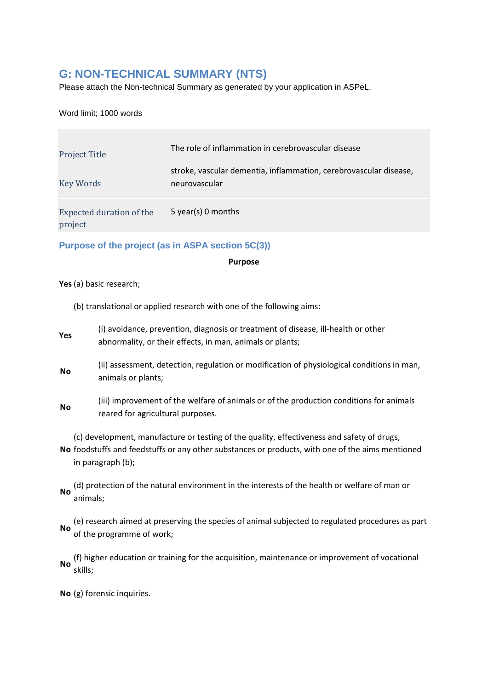# **G: NON-TECHNICAL SUMMARY (NTS)**

Please attach the Non-technical Summary as generated by your application in ASPeL.

Word limit; 1000 words

| <b>Project Title</b>                | The role of inflammation in cerebrovascular disease                                |
|-------------------------------------|------------------------------------------------------------------------------------|
| <b>Key Words</b>                    | stroke, vascular dementia, inflammation, cerebrovascular disease,<br>neurovascular |
| Expected duration of the<br>project | 5 year(s) 0 months                                                                 |

**Purpose of the project (as in ASPA section 5C(3))**

**Purpose**

**Yes**(a) basic research;

- (b) translational or applied research with one of the following aims:
- **Yes** (i) avoidance, prevention, diagnosis or treatment of disease, ill-health or other abnormality, or their effects, in man, animals or plants;
- **No** (ii) assessment, detection, regulation or modification of physiological conditions in man, animals or plants;
- **No** (iii) improvement of the welfare of animals or of the production conditions for animals reared for agricultural purposes.

**No** foodstuffs and feedstuffs or any other substances or products, with one of the aims mentioned (c) development, manufacture or testing of the quality, effectiveness and safety of drugs, in paragraph (b);

(d) protection of the natural environment in the interests of the health or welfare of man or<br>No serimals: animals;

**No** (e) research aimed at preserving the species of animal subjected to regulated procedures as part of the programme of work;

**No** (f) higher education or training for the acquisition, maintenance or improvement of vocational skills;

**No** (g) forensic inquiries.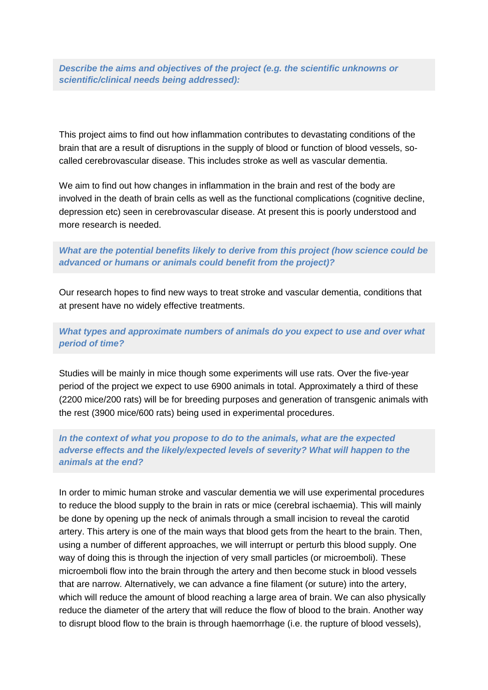*Describe the aims and objectives of the project (e.g. the scientific unknowns or scientific/clinical needs being addressed):*

This project aims to find out how inflammation contributes to devastating conditions of the brain that are a result of disruptions in the supply of blood or function of blood vessels, socalled cerebrovascular disease. This includes stroke as well as vascular dementia.

We aim to find out how changes in inflammation in the brain and rest of the body are involved in the death of brain cells as well as the functional complications (cognitive decline, depression etc) seen in cerebrovascular disease. At present this is poorly understood and more research is needed.

*What are the potential benefits likely to derive from this project (how science could be advanced or humans or animals could benefit from the project)?*

Our research hopes to find new ways to treat stroke and vascular dementia, conditions that at present have no widely effective treatments.

*What types and approximate numbers of animals do you expect to use and over what period of time?*

Studies will be mainly in mice though some experiments will use rats. Over the five-year period of the project we expect to use 6900 animals in total. Approximately a third of these (2200 mice/200 rats) will be for breeding purposes and generation of transgenic animals with the rest (3900 mice/600 rats) being used in experimental procedures.

# *In the context of what you propose to do to the animals, what are the expected adverse effects and the likely/expected levels of severity? What will happen to the animals at the end?*

In order to mimic human stroke and vascular dementia we will use experimental procedures to reduce the blood supply to the brain in rats or mice (cerebral ischaemia). This will mainly be done by opening up the neck of animals through a small incision to reveal the carotid artery. This artery is one of the main ways that blood gets from the heart to the brain. Then, using a number of different approaches, we will interrupt or perturb this blood supply. One way of doing this is through the injection of very small particles (or microemboli). These microemboli flow into the brain through the artery and then become stuck in blood vessels that are narrow. Alternatively, we can advance a fine filament (or suture) into the artery, which will reduce the amount of blood reaching a large area of brain. We can also physically reduce the diameter of the artery that will reduce the flow of blood to the brain. Another way to disrupt blood flow to the brain is through haemorrhage (i.e. the rupture of blood vessels),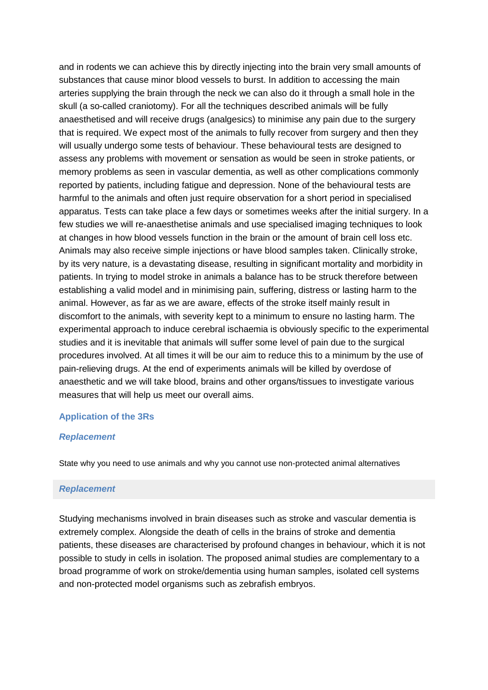and in rodents we can achieve this by directly injecting into the brain very small amounts of substances that cause minor blood vessels to burst. In addition to accessing the main arteries supplying the brain through the neck we can also do it through a small hole in the skull (a so-called craniotomy). For all the techniques described animals will be fully anaesthetised and will receive drugs (analgesics) to minimise any pain due to the surgery that is required. We expect most of the animals to fully recover from surgery and then they will usually undergo some tests of behaviour. These behavioural tests are designed to assess any problems with movement or sensation as would be seen in stroke patients, or memory problems as seen in vascular dementia, as well as other complications commonly reported by patients, including fatigue and depression. None of the behavioural tests are harmful to the animals and often just require observation for a short period in specialised apparatus. Tests can take place a few days or sometimes weeks after the initial surgery. In a few studies we will re-anaesthetise animals and use specialised imaging techniques to look at changes in how blood vessels function in the brain or the amount of brain cell loss etc. Animals may also receive simple injections or have blood samples taken. Clinically stroke, by its very nature, is a devastating disease, resulting in significant mortality and morbidity in patients. In trying to model stroke in animals a balance has to be struck therefore between establishing a valid model and in minimising pain, suffering, distress or lasting harm to the animal. However, as far as we are aware, effects of the stroke itself mainly result in discomfort to the animals, with severity kept to a minimum to ensure no lasting harm. The experimental approach to induce cerebral ischaemia is obviously specific to the experimental studies and it is inevitable that animals will suffer some level of pain due to the surgical procedures involved. At all times it will be our aim to reduce this to a minimum by the use of pain-relieving drugs. At the end of experiments animals will be killed by overdose of anaesthetic and we will take blood, brains and other organs/tissues to investigate various measures that will help us meet our overall aims.

## **Application of the 3Rs**

## *Replacement*

State why you need to use animals and why you cannot use non-protected animal alternatives

# *Replacement*

Studying mechanisms involved in brain diseases such as stroke and vascular dementia is extremely complex. Alongside the death of cells in the brains of stroke and dementia patients, these diseases are characterised by profound changes in behaviour, which it is not possible to study in cells in isolation. The proposed animal studies are complementary to a broad programme of work on stroke/dementia using human samples, isolated cell systems and non-protected model organisms such as zebrafish embryos.